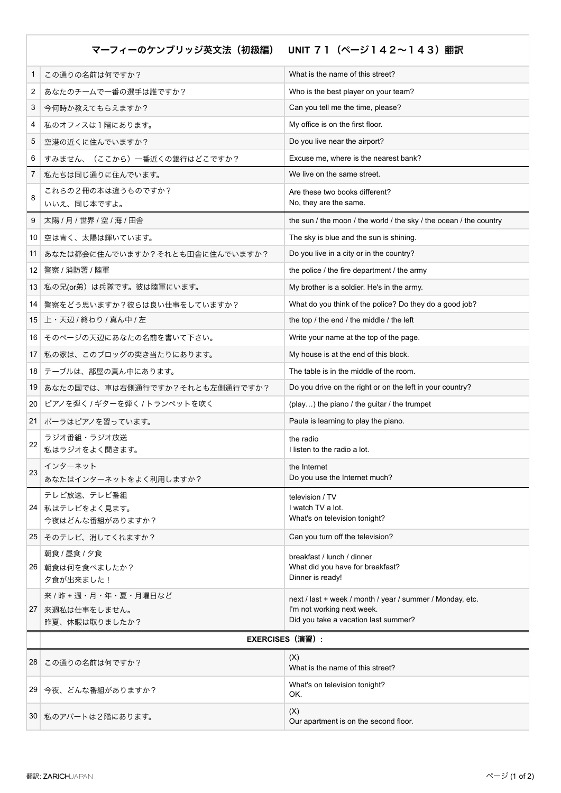マーフィーのケンブリッジ英文法(初級編) **UNIT** 71(ページ142~143)翻訳

| 1  | この通りの名前は何ですか?                      | What is the name of this street?                                   |  |
|----|------------------------------------|--------------------------------------------------------------------|--|
| 2  | あなたのチームで一番の選手は誰ですか?                | Who is the best player on your team?                               |  |
| 3  | 今何時か教えてもらえますか?                     | Can you tell me the time, please?                                  |  |
| 4  | 私のオフィスは1階にあります。                    | My office is on the first floor.                                   |  |
| 5  | 空港の近くに住んでいますか?                     | Do you live near the airport?                                      |  |
| 6  | すみません、(ここから)一番近くの銀行はどこですか?         | Excuse me, where is the nearest bank?                              |  |
| 7  | 私たちは同じ通りに住んでいます。                   | We live on the same street.                                        |  |
| 8  | これらの2冊の本は違うものですか?                  | Are these two books different?                                     |  |
|    | いいえ、同じ本ですよ。                        | No, they are the same.                                             |  |
| 9  | 太陽 / 月 / 世界 / 空 / 海 / 田舎           | the sun / the moon / the world / the sky / the ocean / the country |  |
| 10 | 空は青く、太陽は輝いています。                    | The sky is blue and the sun is shining.                            |  |
| 11 | あなたは都会に住んでいますか?それとも田舎に住んでいますか?     | Do you live in a city or in the country?                           |  |
| 12 | 警察 / 消防署 / 陸軍                      | the police / the fire department / the army                        |  |
| 13 | 私の兄(or弟)は兵隊です。彼は陸軍にいます。            | My brother is a soldier. He's in the army.                         |  |
| 14 | 警察をどう思いますか?彼らは良い仕事をしていますか?         | What do you think of the police? Do they do a good job?            |  |
| 15 | 上・天辺 / 終わり / 真ん中 / 左               | the top / the end / the middle / the left                          |  |
|    | 16 そのページの天辺にあなたの名前を書いて下さい。         | Write your name at the top of the page.                            |  |
| 17 | 私の家は、このブロッグの突き当たりにあります。            | My house is at the end of this block.                              |  |
| 18 | テーブルは、部屋の真ん中にあります。                 | The table is in the middle of the room.                            |  |
| 19 | あなたの国では、車は右側通行ですか?それとも左側通行ですか?     | Do you drive on the right or on the left in your country?          |  |
| 20 | ピアノを弾く / ギターを弾く / トランペットを吹く        | (play) the piano / the guitar / the trumpet                        |  |
| 21 | ポーラはピアノを習っています。                    | Paula is learning to play the piano.                               |  |
| 22 | ラジオ番組・ラジオ放送<br>私はラジオをよく聞きます。       | the radio<br>I listen to the radio a lot.                          |  |
| 23 | インターネット<br>あなたはインターネットをよく利用しますか?   | the Internet<br>Do you use the Internet much?                      |  |
|    | テレビ放送、テレビ番組                        | television / TV                                                    |  |
|    | 24 私はテレビをよく見ます。<br>今夜はどんな番組がありますか? | I watch TV a lot.<br>What's on television tonight?                 |  |
| 25 | そのテレビ、消してくれますか?                    | Can you turn off the television?                                   |  |
|    | 朝食 / 昼食 / 夕食                       | breakfast / lunch / dinner                                         |  |
| 26 | 朝食は何を食べましたか?                       | What did you have for breakfast?                                   |  |
|    | 夕食が出来ました!                          | Dinner is ready!                                                   |  |
|    | 来 / 昨 + 週・月・年・夏・月曜日など              | next / last + week / month / year / summer / Monday, etc.          |  |
| 27 | 来週私は仕事をしません。<br>昨夏、休暇は取りましたか?      | I'm not working next week.<br>Did you take a vacation last summer? |  |
|    |                                    |                                                                    |  |
|    | <b>EXERCISES (演習):</b>             |                                                                    |  |
| 28 | この通りの名前は何ですか?                      | (X)<br>What is the name of this street?                            |  |
|    | 29 今夜、どんな番組がありますか?                 | What's on television tonight?<br>OK.                               |  |
|    | 30 私のアパートは2階にあります。                 | (X)<br>Our apartment is on the second floor.                       |  |
|    |                                    |                                                                    |  |